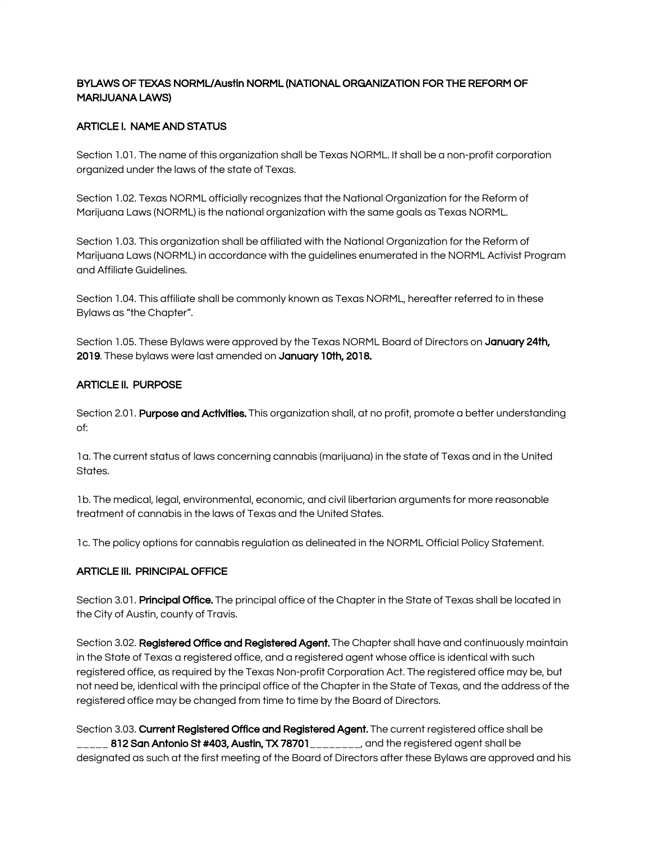# BYLAWS OF TEXAS NORML/Austin NORML (NATIONAL ORGANIZATION FOR THE REFORM OF MARIJUANA LAWS)

## ARTICLE I. NAME AND STATUS

Section 1.01. The name of this organization shall be Texas NORML. It shall be a non-profit corporation organized under the laws of the state of Texas.

Section 1.02. Texas NORML officially recognizes that the National Organization for the Reform of Marijuana Laws (NORML) is the national organization with the same goals as Texas NORML.

Section 1.03. This organization shall be affiliated with the National Organization for the Reform of Marijuana Laws (NORML) in accordance with the guidelines enumerated in the NORML Activist Program and Affiliate Guidelines.

Section 1.04. This affiliate shall be commonly known as Texas NORML, hereafter referred to in these Bylaws as "the Chapter".

Section 1.05. These Bylaws were approved by the Texas NORML Board of Directors on January 24th, 2019. These bylaws were last amended on January 10th, 2018.

## ARTICLE II. PURPOSE

Section 2.01. Purpose and Activities. This organization shall, at no profit, promote a better understanding of:

1a. The current status of laws concerning cannabis (marijuana) in the state of Texas and in the United States.

1b. The medical, legal, environmental, economic, and civil libertarian arguments for more reasonable treatment of cannabis in the laws of Texas and the United States.

1c. The policy options for cannabis regulation as delineated in the NORML Official Policy Statement.

## ARTICLE III. PRINCIPAL OFFICE

Section 3.01. Principal Office. The principal office of the Chapter in the State of Texas shall be located in the City of Austin, county of Travis.

Section 3.02. Registered Office and Registered Agent. The Chapter shall have and continuously maintain in the State of Texas a registered office, and a registered agent whose office is identical with such registered office, as required by the Texas Non-profit Corporation Act. The registered office may be, but not need be, identical with the principal office of the Chapter in the State of Texas, and the address of the registered office may be changed from time to time by the Board of Directors.

Section 3.03. Current Registered Office and Registered Agent. The current registered office shall be 812 San Antonio St #403, Austin, TX 78701 and the registered agent shall be designated as such at the first meeting of the Board of Directors after these Bylaws are approved and his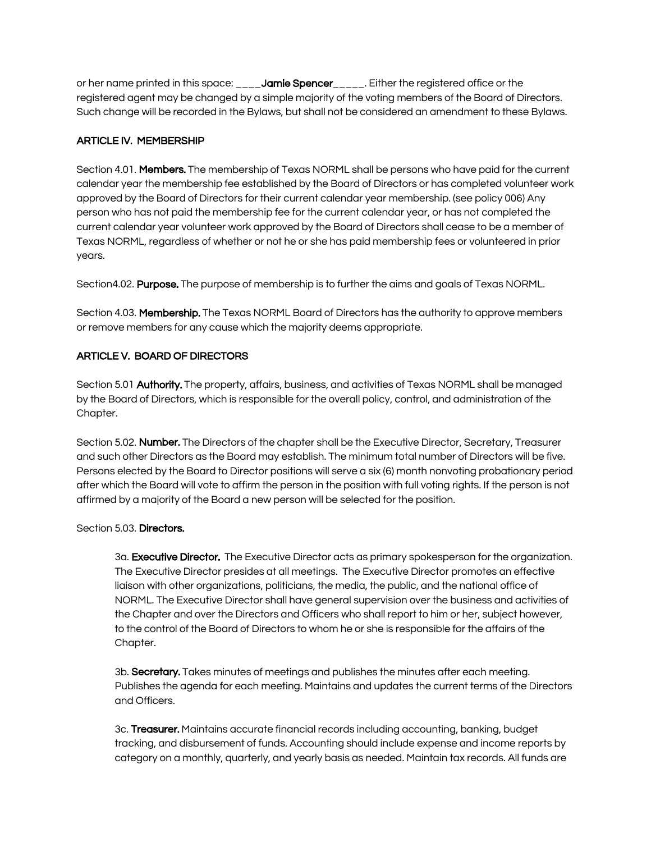or her name printed in this space: **Jamie Spencer** Either the registered office or the registered agent may be changed by a simple majority of the voting members of the Board of Directors. Such change will be recorded in the Bylaws, but shall not be considered an amendment to these Bylaws.

## ARTICLE IV. MEMBERSHIP

Section 4.01. Members. The membership of Texas NORML shall be persons who have paid for the current calendar year the membership fee established by the Board of Directors or has completed volunteer work approved by the Board of Directors for their current calendar year membership. (see policy 006) Any person who has not paid the membership fee for the current calendar year, or has not completed the current calendar year volunteer work approved by the Board of Directors shall cease to be a member of Texas NORML, regardless of whether or not he or she has paid membership fees or volunteered in prior years.

Section4.02. Purpose. The purpose of membership is to further the aims and goals of Texas NORML.

Section 4.03. Membership. The Texas NORML Board of Directors has the authority to approve members or remove members for any cause which the majority deems appropriate.

# ARTICLE V. BOARD OF DIRECTORS

Section 5.01 Authority. The property, affairs, business, and activities of Texas NORML shall be managed by the Board of Directors, which is responsible for the overall policy, control, and administration of the Chapter.

Section 5.02. Number. The Directors of the chapter shall be the Executive Director, Secretary, Treasurer and such other Directors as the Board may establish. The minimum total number of Directors will be five. Persons elected by the Board to Director positions will serve a six (6) month nonvoting probationary period after which the Board will vote to affirm the person in the position with full voting rights. If the person is not affirmed by a majority of the Board a new person will be selected for the position.

## Section 5.03. Directors.

3a. Executive Director. The Executive Director acts as primary spokesperson for the organization. The Executive Director presides at all meetings. The Executive Director promotes an effective liaison with other organizations, politicians, the media, the public, and the national office of NORML. The Executive Director shall have general supervision over the business and activities of the Chapter and over the Directors and Officers who shall report to him or her, subject however, to the control of the Board of Directors to whom he or she is responsible for the affairs of the Chapter.

3b. Secretary. Takes minutes of meetings and publishes the minutes after each meeting. Publishes the agenda for each meeting. Maintains and updates the current terms of the Directors and Officers.

3c. Treasurer. Maintains accurate financial records including accounting, banking, budget tracking, and disbursement of funds. Accounting should include expense and income reports by category on a monthly, quarterly, and yearly basis as needed. Maintain tax records. All funds are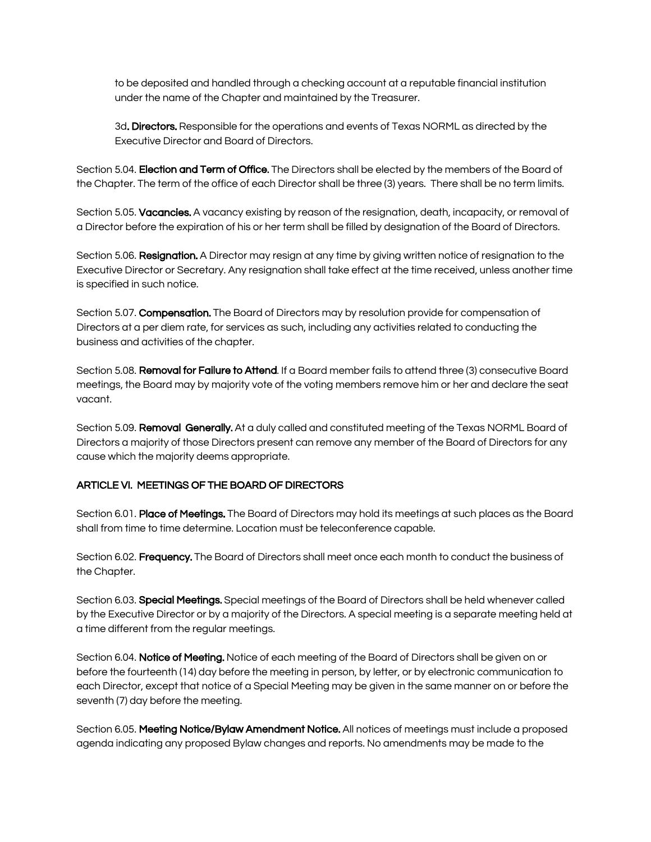to be deposited and handled through a checking account at a reputable financial institution under the name of the Chapter and maintained by the Treasurer.

3d. Directors. Responsible for the operations and events of Texas NORML as directed by the Executive Director and Board of Directors.

Section 5.04. Election and Term of Office. The Directors shall be elected by the members of the Board of the Chapter. The term of the office of each Director shall be three (3) years. There shall be no term limits.

Section 5.05. Vacancies. A vacancy existing by reason of the resignation, death, incapacity, or removal of a Director before the expiration of his or her term shall be filled by designation of the Board of Directors.

Section 5.06. Resignation. A Director may resign at any time by giving written notice of resignation to the Executive Director or Secretary. Any resignation shall take effect at the time received, unless another time is specified in such notice.

Section 5.07. **Compensation.** The Board of Directors may by resolution provide for compensation of Directors at a per diem rate, for services as such, including any activities related to conducting the business and activities of the chapter.

Section 5.08. Removal for Failure to Attend. If a Board member fails to attend three (3) consecutive Board meetings, the Board may by majority vote of the voting members remove him or her and declare the seat vacant.

Section 5.09. Removal Generally. At a duly called and constituted meeting of the Texas NORML Board of Directors a majority of those Directors present can remove any member of the Board of Directors for any cause which the majority deems appropriate.

## ARTICLE VI. MEETINGS OF THE BOARD OF DIRECTORS

Section 6.01. Place of Meetings. The Board of Directors may hold its meetings at such places as the Board shall from time to time determine. Location must be teleconference capable.

Section 6.02. Frequency. The Board of Directors shall meet once each month to conduct the business of the Chapter.

Section 6.03. Special Meetings. Special meetings of the Board of Directors shall be held whenever called by the Executive Director or by a majority of the Directors. A special meeting is a separate meeting held at a time different from the regular meetings.

Section 6.04. Notice of Meeting. Notice of each meeting of the Board of Directors shall be given on or before the fourteenth (14) day before the meeting in person, by letter, or by electronic communication to each Director, except that notice of a Special Meeting may be given in the same manner on or before the seventh (7) day before the meeting.

Section 6.05. Meeting Notice/Bylaw Amendment Notice. All notices of meetings must include a proposed agenda indicating any proposed Bylaw changes and reports. No amendments may be made to the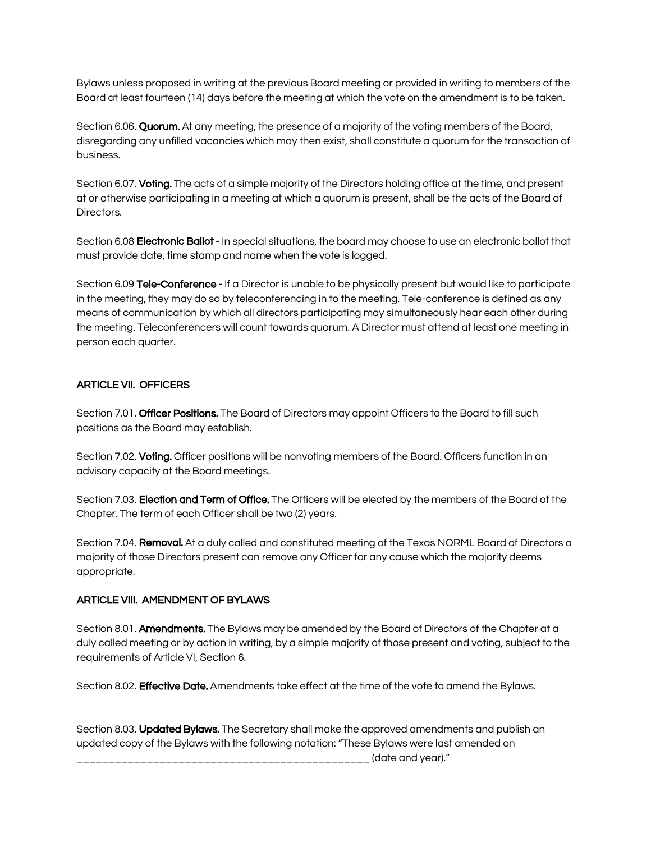Bylaws unless proposed in writing at the previous Board meeting or provided in writing to members of the Board at least fourteen (14) days before the meeting at which the vote on the amendment is to be taken.

Section 6.06. Quorum. At any meeting, the presence of a majority of the voting members of the Board, disregarding any unfilled vacancies which may then exist, shall constitute a quorum for the transaction of business.

Section 6.07. Voting. The acts of a simple majority of the Directors holding office at the time, and present at or otherwise participating in a meeting at which a quorum is present, shall be the acts of the Board of Directors.

Section 6.08 Electronic Ballot - In special situations, the board may choose to use an electronic ballot that must provide date, time stamp and name when the vote is logged.

Section 6.09 Tele-Conference - If a Director is unable to be physically present but would like to participate in the meeting, they may do so by teleconferencing in to the meeting. Tele-conference is defined as any means of communication by which all directors participating may simultaneously hear each other during the meeting. Teleconferencers will count towards quorum. A Director must attend at least one meeting in person each quarter.

#### ARTICLE VII. OFFICERS

Section 7.01. Officer Positions. The Board of Directors may appoint Officers to the Board to fill such positions as the Board may establish.

Section 7.02. Voting. Officer positions will be nonvoting members of the Board. Officers function in an advisory capacity at the Board meetings.

Section 7.03. Election and Term of Office. The Officers will be elected by the members of the Board of the Chapter. The term of each Officer shall be two (2) years.

Section 7.04. Removal. At a duly called and constituted meeting of the Texas NORML Board of Directors a majority of those Directors present can remove any Officer for any cause which the majority deems appropriate.

#### ARTICLE VIII. AMENDMENT OF BYLAWS

Section 8.01. **Amendments.** The Bylaws may be amended by the Board of Directors of the Chapter at a duly called meeting or by action in writing, by a simple majority of those present and voting, subject to the requirements of Article VI, Section 6.

Section 8.02. **Effective Date.** Amendments take effect at the time of the vote to amend the Bylaws.

Section 8.03. Updated Bylaws. The Secretary shall make the approved amendments and publish an updated copy of the Bylaws with the following notation: "These Bylaws were last amended on \_\_\_\_\_\_\_\_\_\_\_\_\_\_\_\_\_\_\_\_\_\_\_\_\_\_\_\_\_\_\_\_\_\_\_\_\_\_\_\_\_\_\_\_\_\_ (date and year)."